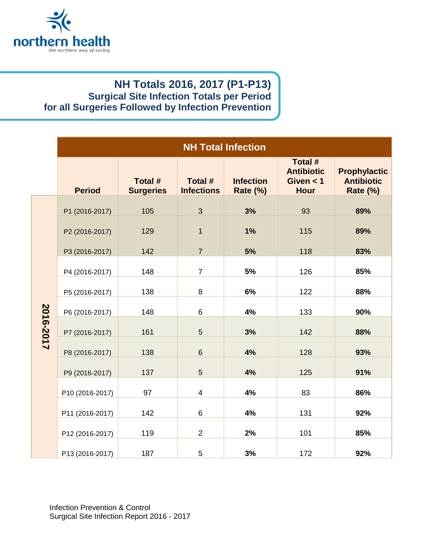

## **NH Totals 2016, 2017 (P1-P13) Surgical Site Infection Totals per Period for all Surgeries Followed by Infection Prevention**

|           | <b>NH Total Infection</b> |                             |                              |                                     |                                                            |                                                      |
|-----------|---------------------------|-----------------------------|------------------------------|-------------------------------------|------------------------------------------------------------|------------------------------------------------------|
|           | <b>Period</b>             | Total #<br><b>Surgeries</b> | Total #<br><b>Infections</b> | <b>Infection</b><br><b>Rate (%)</b> | Total #<br><b>Antibiotic</b><br>Given $<$ 1<br><b>Hour</b> | <b>Prophylactic</b><br><b>Antibiotic</b><br>Rate (%) |
| 2016-2017 | P1 (2016-2017)            | 105                         | $\overline{3}$               | 3%                                  | 93                                                         | 89%                                                  |
|           | P2 (2016-2017)            | 129                         | $\overline{1}$               | 1%                                  | 115                                                        | 89%                                                  |
|           | P3 (2016-2017)            | 142                         | $\overline{7}$               | 5%                                  | 118                                                        | 83%                                                  |
|           | P4 (2016-2017)            | 148                         | $\overline{7}$               | 5%                                  | 126                                                        | 85%                                                  |
|           | P5 (2016-2017)            | 138                         | 8                            | 6%                                  | 122                                                        | 88%                                                  |
|           | P6 (2016-2017)            | 148                         | $6\phantom{1}$               | 4%                                  | 133                                                        | 90%                                                  |
|           | P7 (2016-2017)            | 161                         | 5                            | 3%                                  | 142                                                        | 88%                                                  |
|           | P8 (2016-2017)            | 138                         | $6\phantom{1}$               | 4%                                  | 128                                                        | 93%                                                  |
|           | P9 (2016-2017)            | 137                         | 5                            | 4%                                  | 125                                                        | 91%                                                  |
|           | P10 (2016-2017)           | 97                          | $\overline{4}$               | 4%                                  | 83                                                         | 86%                                                  |
|           | P11 (2016-2017)           | 142                         | $\,6\,$                      | 4%                                  | 131                                                        | 92%                                                  |
|           | P12 (2016-2017)           | 119                         | $\overline{2}$               | 2%                                  | 101                                                        | 85%                                                  |
|           | P13 (2016-2017)           | 187                         | 5                            | 3%                                  | 172                                                        | 92%                                                  |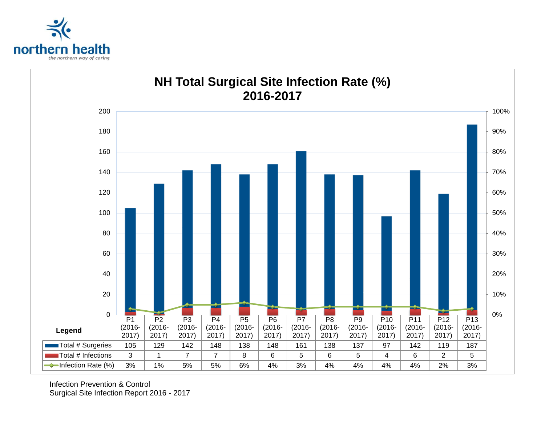



Infection Prevention & Control Surgical Site Infection Report 2016 - 2017